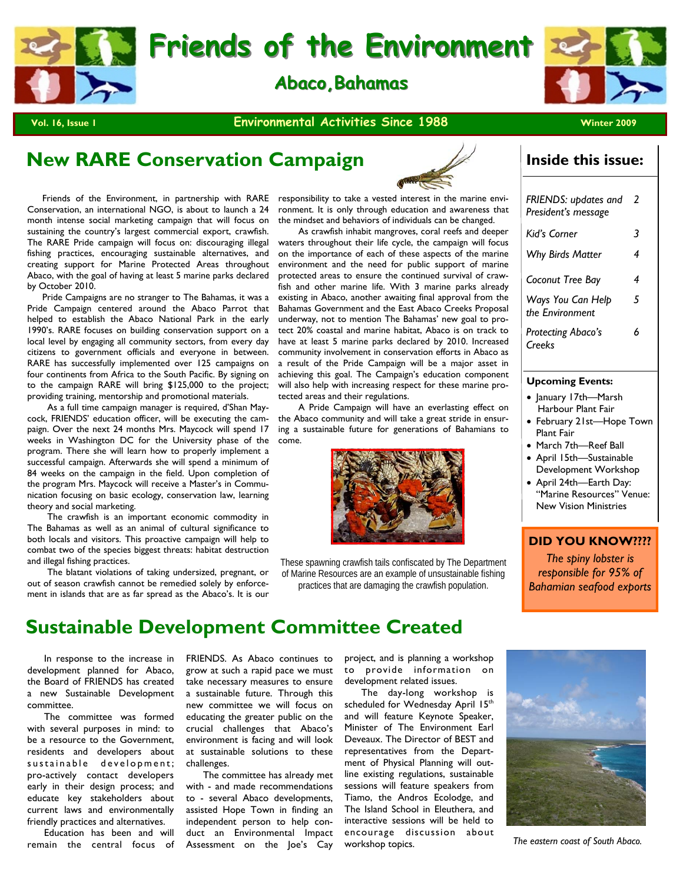

**Vol. 16, Issue 1 Winter 2009 Contract Activities Since 1988 Winter 2009** 

## **New RARE Conservation Campaign**

 Friends of the Environment, in partnership with RARE Conservation, an international NGO, is about to launch a 24 month intense social marketing campaign that will focus on sustaining the country's largest commercial export, crawfish. The RARE Pride campaign will focus on: discouraging illegal fishing practices, encouraging sustainable alternatives, and creating support for Marine Protected Areas throughout Abaco, with the goal of having at least 5 marine parks declared by October 2010.

 Pride Campaigns are no stranger to The Bahamas, it was a Pride Campaign centered around the Abaco Parrot that helped to establish the Abaco National Park in the early 1990's. RARE focuses on building conservation support on a local level by engaging all community sectors, from every day citizens to government officials and everyone in between. RARE has successfully implemented over 125 campaigns on four continents from Africa to the South Pacific. By signing on to the campaign RARE will bring \$125,000 to the project; providing training, mentorship and promotional materials.

 As a full time campaign manager is required, d'Shan Maycock, FRIENDS' education officer, will be executing the campaign. Over the next 24 months Mrs. Maycock will spend 17 weeks in Washington DC for the University phase of the program. There she will learn how to properly implement a successful campaign. Afterwards she will spend a minimum of 84 weeks on the campaign in the field. Upon completion of the program Mrs. Maycock will receive a Master's in Communication focusing on basic ecology, conservation law, learning theory and social marketing.

 The crawfish is an important economic commodity in The Bahamas as well as an animal of cultural significance to both locals and visitors. This proactive campaign will help to combat two of the species biggest threats: habitat destruction and illegal fishing practices.

 The blatant violations of taking undersized, pregnant, or out of season crawfish cannot be remedied solely by enforcement in islands that are as far spread as the Abaco's. It is our

responsibility to take a vested interest in the marine environment. It is only through education and awareness that the mindset and behaviors of individuals can be changed.

 As crawfish inhabit mangroves, coral reefs and deeper waters throughout their life cycle, the campaign will focus on the importance of each of these aspects of the marine environment and the need for public support of marine protected areas to ensure the continued survival of crawfish and other marine life. With 3 marine parks already existing in Abaco, another awaiting final approval from the Bahamas Government and the East Abaco Creeks Proposal underway, not to mention The Bahamas' new goal to protect 20% coastal and marine habitat, Abaco is on track to have at least 5 marine parks declared by 2010. Increased community involvement in conservation efforts in Abaco as a result of the Pride Campaign will be a major asset in achieving this goal. The Campaign's education component will also help with increasing respect for these marine protected areas and their regulations.

 A Pride Campaign will have an everlasting effect on the Abaco community and will take a great stride in ensuring a sustainable future for generations of Bahamians to come.



These spawning crawfish tails confiscated by The Department of Marine Resources are an example of unsustainable fishing practices that are damaging the crawfish population.

#### **Inside this issue:**

| FRIENDS: updates and<br>President's message | 2 |
|---------------------------------------------|---|
| Kiďs Corner                                 | 3 |
| <b>Why Birds Matter</b>                     | 4 |
| Coconut Tree Bay                            | 4 |
| Ways You Can Help<br>the Environment        | 5 |
| Protecting Abaco's<br>Creeks                | 6 |
|                                             |   |

#### **Upcoming Events:**

- January 17th—Marsh Harbour Plant Fair
- February 21st—Hope Town Plant Fair
- March 7th—Reef Ball
- April 15th—Sustainable Development Workshop
- April 24th—Earth Day: "Marine Resources" Venue: New Vision Ministries

#### **DID YOU KNOW????**

*The spiny lobster is responsible for 95% of Bahamian seafood exports*

#### **Sustainable Development Committee Created**

 In response to the increase in development planned for Abaco, the Board of FRIENDS has created a new Sustainable Development committee.

 The committee was formed with several purposes in mind: to be a resource to the Government, residents and developers about s u stainable development; pro-actively contact developers early in their design process; and educate key stakeholders about current laws and environmentally friendly practices and alternatives.

 Education has been and will remain the central focus of FRIENDS. As Abaco continues to grow at such a rapid pace we must take necessary measures to ensure a sustainable future. Through this new committee we will focus on educating the greater public on the crucial challenges that Abaco's environment is facing and will look at sustainable solutions to these challenges.

 The committee has already met with - and made recommendations to - several Abaco developments, assisted Hope Town in finding an independent person to help conduct an Environmental Impact Assessment on the Joe's Cay project, and is planning a workshop to provide information on development related issues.

 The day-long workshop is scheduled for Wednesday April 15<sup>th</sup> and will feature Keynote Speaker, Minister of The Environment Earl Deveaux. The Director of BEST and representatives from the Department of Physical Planning will outline existing regulations, sustainable sessions will feature speakers from Tiamo, the Andros Ecolodge, and The Island School in Eleuthera, and interactive sessions will be held to encourage discussion about workshop topics.



*The eastern coast of South Abaco.*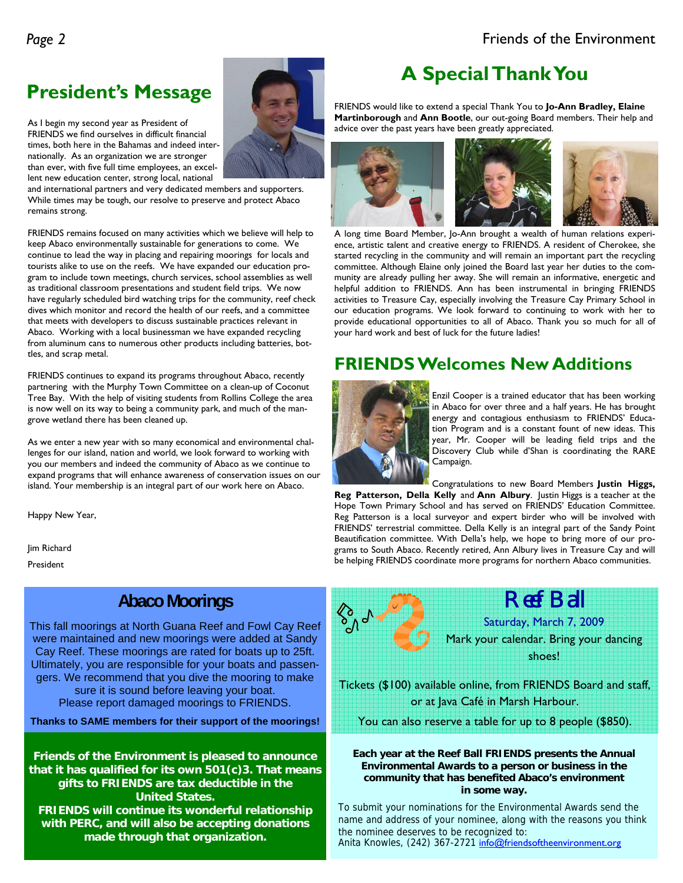## **President's Message**

As I begin my second year as President of FRIENDS we find ourselves in difficult financial times, both here in the Bahamas and indeed internationally. As an organization we are stronger than ever, with five full time employees, an excellent new education center, strong local, national

and international partners and very dedicated members and supporters. While times may be tough, our resolve to preserve and protect Abaco remains strong.

FRIENDS remains focused on many activities which we believe will help to keep Abaco environmentally sustainable for generations to come. We continue to lead the way in placing and repairing moorings for locals and tourists alike to use on the reefs. We have expanded our education program to include town meetings, church services, school assemblies as well as traditional classroom presentations and student field trips. We now have regularly scheduled bird watching trips for the community, reef check dives which monitor and record the health of our reefs, and a committee that meets with developers to discuss sustainable practices relevant in Abaco. Working with a local businessman we have expanded recycling from aluminum cans to numerous other products including batteries, bottles, and scrap metal.

FRIENDS continues to expand its programs throughout Abaco, recently partnering with the Murphy Town Committee on a clean-up of Coconut Tree Bay. With the help of visiting students from Rollins College the area is now well on its way to being a community park, and much of the mangrove wetland there has been cleaned up.

As we enter a new year with so many economical and environmental challenges for our island, nation and world, we look forward to working with you our members and indeed the community of Abaco as we continue to expand programs that will enhance awareness of conservation issues on our island. Your membership is an integral part of our work here on Abaco.

Happy New Year,

Jim Richard

President

#### **Abaco Moorings**

This fall moorings at North Guana Reef and Fowl Cay Reef were maintained and new moorings were added at Sandy Cay Reef. These moorings are rated for boats up to 25ft. Ultimately, you are responsible for your boats and passengers. We recommend that you dive the mooring to make sure it is sound before leaving your boat. Please report damaged moorings to FRIENDS.

**Thanks to SAME members for their support of the moorings!** 

**Friends of the Environment is pleased to announce that it has qualified for its own 501(c)3. That means gifts to FRIENDS are tax deductible in the United States. FRIENDS will continue its wonderful relationship with PERC, and will also be accepting donations made through that organization.** 

## **A Special Thank You**

FRIENDS would like to extend a special Thank You to **Jo-Ann Bradley, Elaine Martinborough** and **Ann Bootle**, our out-going Board members. Their help and advice over the past years have been greatly appreciated.



A long time Board Member, Jo-Ann brought a wealth of human relations experience, artistic talent and creative energy to FRIENDS. A resident of Cherokee, she started recycling in the community and will remain an important part the recycling committee. Although Elaine only joined the Board last year her duties to the community are already pulling her away. She will remain an informative, energetic and helpful addition to FRIENDS. Ann has been instrumental in bringing FRIENDS activities to Treasure Cay, especially involving the Treasure Cay Primary School in our education programs. We look forward to continuing to work with her to provide educational opportunities to all of Abaco. Thank you so much for all of your hard work and best of luck for the future ladies!

### **FRIENDS Welcomes New Additions**



Enzil Cooper is a trained educator that has been working in Abaco for over three and a half years. He has brought energy and contagious enthusiasm to FRIENDS' Education Program and is a constant fount of new ideas. This year, Mr. Cooper will be leading field trips and the Discovery Club while d'Shan is coordinating the RARE Campaign.

Congratulations to new Board Members **Justin Higgs,** 

Reef Ball

**Reg Patterson, Della Kelly** and **Ann Albury**. Justin Higgs is a teacher at the Hope Town Primary School and has served on FRIENDS' Education Committee. Reg Patterson is a local surveyor and expert birder who will be involved with FRIENDS' terrestrial committee. Della Kelly is an integral part of the Sandy Point Beautification committee. With Della's help, we hope to bring more of our programs to South Abaco. Recently retired, Ann Albury lives in Treasure Cay and will be helping FRIENDS coordinate more programs for northern Abaco communities.



#### **Each year at the Reef Ball FRIENDS presents the Annual Environmental Awards to a person or business in the community that has benefited Abaco's environment in some way.**

To submit your nominations for the Environmental Awards send the name and address of your nominee, along with the reasons you think the nominee deserves to be recognized to: Anita Knowles, (242) 367-2721 info@friendsoftheenvironment.org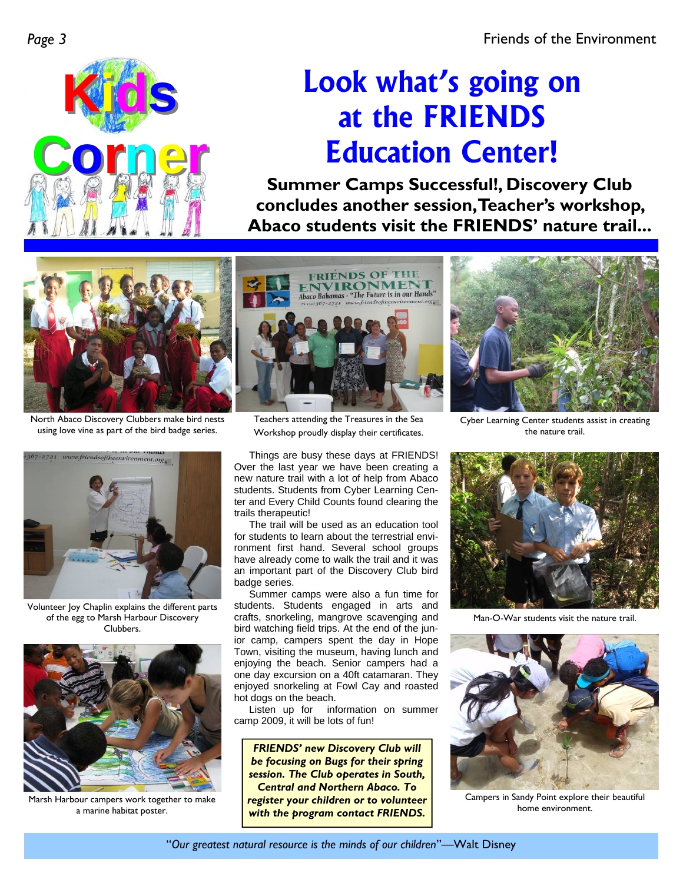

# **Look what's going on at the FRIENDS Education Center!**

**Summer Camps Successful!, Discovery Club concludes another session, Teacher's workshop, Abaco students visit the FRIENDS' nature trail...** 



North Abaco Discovery Clubbers make bird nests using love vine as part of the bird badge series.



Volunteer Joy Chaplin explains the different parts of the egg to Marsh Harbour Discovery Clubbers.



Marsh Harbour campers work together to make a marine habitat poster.



Teachers attending the Treasures in the Sea Workshop proudly display their certificates.

Things are busy these days at FRIENDS! Over the last year we have been creating a new nature trail with a lot of help from Abaco students. Students from Cyber Learning Center and Every Child Counts found clearing the trails therapeutic!

 The trail will be used as an education tool for students to learn about the terrestrial environment first hand. Several school groups have already come to walk the trail and it was an important part of the Discovery Club bird badge series.

 Summer camps were also a fun time for students. Students engaged in arts and crafts, snorkeling, mangrove scavenging and bird watching field trips. At the end of the junior camp, campers spent the day in Hope Town, visiting the museum, having lunch and enjoying the beach. Senior campers had a one day excursion on a 40ft catamaran. They enjoyed snorkeling at Fowl Cay and roasted hot dogs on the beach.

 Listen up for information on summer camp 2009, it will be lots of fun!

*FRIENDS' new Discovery Club will be focusing on Bugs for their spring session. The Club operates in South, Central and Northern Abaco. To register your children or to volunteer with the program contact FRIENDS.* 



Cyber Learning Center students assist in creating the nature trail.



Man-O-War students visit the nature trail.



Campers in Sandy Point explore their beautiful home environment.

"*Our greatest natural resource is the minds of our children*"—Walt Disney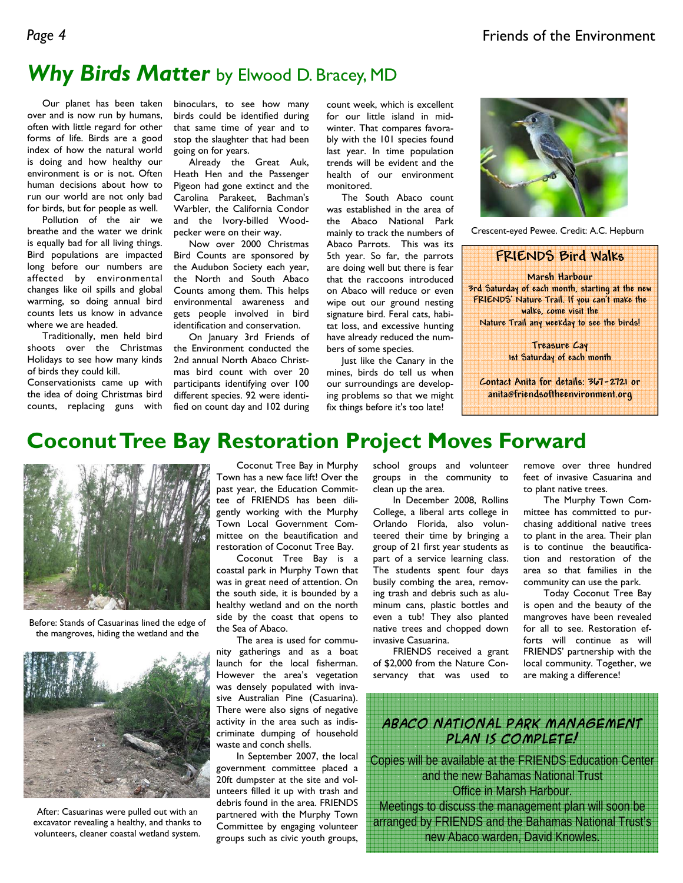## *Why Birds Matter* by Elwood D. Bracey, MD

 Our planet has been taken over and is now run by humans, often with little regard for other forms of life. Birds are a good index of how the natural world is doing and how healthy our environment is or is not. Often human decisions about how to run our world are not only bad for birds, but for people as well.

 Pollution of the air we breathe and the water we drink is equally bad for all living things. Bird populations are impacted long before our numbers are affected by environmental changes like oil spills and global warming, so doing annual bird counts lets us know in advance where we are headed.

 Traditionally, men held bird shoots over the Christmas Holidays to see how many kinds of birds they could kill.

Conservationists came up with the idea of doing Christmas bird counts, replacing guns with binoculars, to see how many birds could be identified during that same time of year and to stop the slaughter that had been going on for years.

 Already the Great Auk, Heath Hen and the Passenger Pigeon had gone extinct and the Carolina Parakeet, Bachman's Warbler, the California Condor and the Ivory-billed Woodpecker were on their way.

 Now over 2000 Christmas Bird Counts are sponsored by the Audubon Society each year, the North and South Abaco Counts among them. This helps environmental awareness and gets people involved in bird identification and conservation.

 On January 3rd Friends of the Environment conducted the 2nd annual North Abaco Christmas bird count with over 20 participants identifying over 100 different species. 92 were identified on count day and 102 during count week, which is excellent for our little island in midwinter. That compares favorably with the 101 species found last year. In time population trends will be evident and the health of our environment monitored.

 The South Abaco count was established in the area of the Abaco National Park mainly to track the numbers of Abaco Parrots. This was its 5th year. So far, the parrots are doing well but there is fear that the raccoons introduced on Abaco will reduce or even wipe out our ground nesting signature bird. Feral cats, habitat loss, and excessive hunting have already reduced the numbers of some species.

 Just like the Canary in the mines, birds do tell us when our surroundings are developing problems so that we might fix things before it's too late!



Crescent-eyed Pewee. Credit: A.C. Hepburn



**Contact Anita for details: 367-2721 or anita@friendsoftheenvironment.org** 

## **Coconut Tree Bay Restoration Project Moves Forward**



Before: Stands of Casuarinas lined the edge of the mangroves, hiding the wetland and the



After: Casuarinas were pulled out with an excavator revealing a healthy, and thanks to volunteers, cleaner coastal wetland system.

 Coconut Tree Bay in Murphy Town has a new face lift! Over the past year, the Education Committee of FRIENDS has been diligently working with the Murphy Town Local Government Committee on the beautification and restoration of Coconut Tree Bay.

Coconut Tree Bay is a coastal park in Murphy Town that was in great need of attention. On the south side, it is bounded by a healthy wetland and on the north side by the coast that opens to the Sea of Abaco.

 The area is used for community gatherings and as a boat launch for the local fisherman. However the area's vegetation was densely populated with invasive Australian Pine (Casuarina). There were also signs of negative activity in the area such as indiscriminate dumping of household waste and conch shells.

 In September 2007, the local government committee placed a 20ft dumpster at the site and volunteers filled it up with trash and debris found in the area. FRIENDS partnered with the Murphy Town Committee by engaging volunteer groups such as civic youth groups,

school groups and volunteer groups in the community to clean up the area.

 In December 2008, Rollins College, a liberal arts college in Orlando Florida, also volunteered their time by bringing a group of 21 first year students as part of a service learning class. The students spent four days busily combing the area, removing trash and debris such as aluminum cans, plastic bottles and even a tub! They also planted native trees and chopped down invasive Casuarina.

 FRIENDS received a grant of \$2,000 from the Nature Conservancy that was used to

remove over three hundred feet of invasive Casuarina and to plant native trees.

 The Murphy Town Committee has committed to purchasing additional native trees to plant in the area. Their plan is to continue the beautification and restoration of the area so that families in the community can use the park.

 Today Coconut Tree Bay is open and the beauty of the mangroves have been revealed for all to see. Restoration efforts will continue as will FRIENDS' partnership with the local community. Together, we are making a difference!

**Abaco National Park Management Plan is Complete!** 

Copies will be available at the FRIENDS Education Center and the new Bahamas National Trust Office in Marsh Harbour. Meetings to discuss the management plan will soon be arranged by FRIENDS and the Bahamas National Trust's new Abaco warden, David Knowles.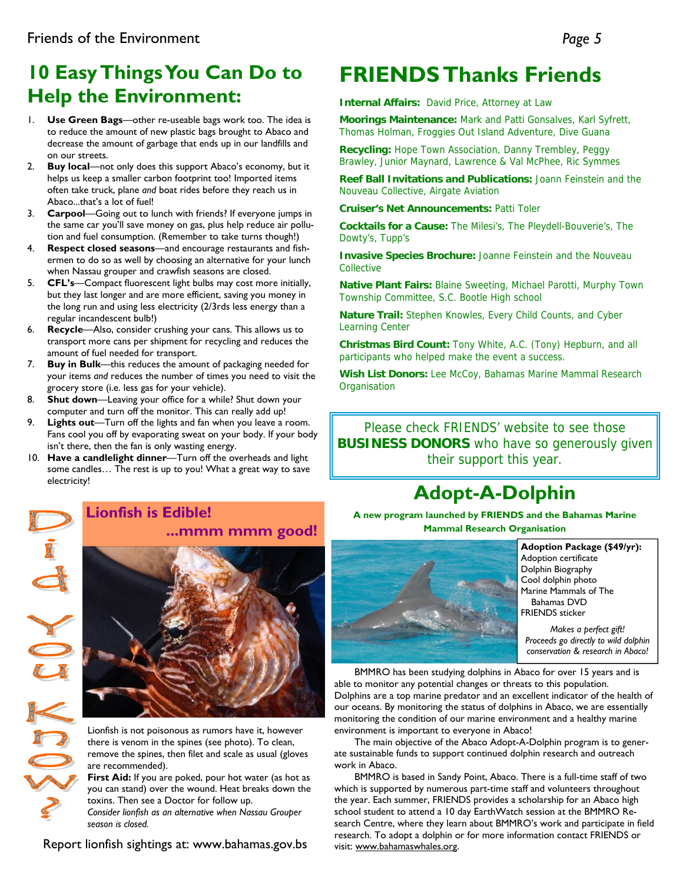## **10 Easy Things You Can Do to Help the Environment:**

- 1. **Use Green Bags**—other re-useable bags work too. The idea is to reduce the amount of new plastic bags brought to Abaco and decrease the amount of garbage that ends up in our landfills and on our streets.
- 2. **Buy local**—not only does this support Abaco's economy, but it helps us keep a smaller carbon footprint too! Imported items often take truck, plane *and* boat rides before they reach us in Abaco...that's a lot of fuel!
- 3. **Carpool**—Going out to lunch with friends? If everyone jumps in the same car you'll save money on gas, plus help reduce air pollution and fuel consumption. (Remember to take turns though!)
- 4. **Respect closed seasons**—and encourage restaurants and fishermen to do so as well by choosing an alternative for your lunch when Nassau grouper and crawfish seasons are closed.
- 5. **CFL's**—Compact fluorescent light bulbs may cost more initially, but they last longer and are more efficient, saving you money in the long run and using less electricity (2/3rds less energy than a regular incandescent bulb!)
- 6. **Recycle**—Also, consider crushing your cans. This allows us to transport more cans per shipment for recycling and reduces the amount of fuel needed for transport.
- 7. **Buy in Bulk**—this reduces the amount of packaging needed for your items *and* reduces the number of times you need to visit the grocery store (i.e. less gas for your vehicle).
- 8. **Shut down**—Leaving your office for a while? Shut down your computer and turn off the monitor. This can really add up!
- 9. **Lights out**—Turn off the lights and fan when you leave a room. Fans cool you off by evaporating sweat on your body. If your body isn't there, then the fan is only wasting energy.
- 10. **Have a candlelight dinner**—Turn off the overheads and light some candles… The rest is up to you! What a great way to save electricity!

## **FRIENDS Thanks Friends**

**Internal Affairs:** David Price, Attorney at Law

**Moorings Maintenance:** Mark and Patti Gonsalves, Karl Syfrett, Thomas Holman, Froggies Out Island Adventure, Dive Guana

**Recycling:** Hope Town Association, Danny Trembley, Peggy Brawley, Junior Maynard, Lawrence & Val McPhee, Ric Symmes

**Reef Ball Invitations and Publications:** Joann Feinstein and the Nouveau Collective, Airgate Aviation

**Cruiser's Net Announcements:** Patti Toler

**Cocktails for a Cause:** The Milesi's, The Pleydell-Bouverie's, The Dowty's, Tupp's

**Invasive Species Brochure:** Joanne Feinstein and the Nouveau Collective

**Native Plant Fairs:** Blaine Sweeting, Michael Parotti, Murphy Town Township Committee, S.C. Bootle High school

**Nature Trail:** Stephen Knowles, Every Child Counts, and Cyber Learning Center

**Christmas Bird Count:** Tony White, A.C. (Tony) Hepburn, and all participants who helped make the event a success.

**Wish List Donors:** Lee McCoy, Bahamas Marine Mammal Research **Organisation** 

Please check FRIENDS' website to see those **BUSINESS DONORS** who have so generously given their support this year.

## **Adopt-A-Dolphin**



#### **Lionfish is Edible! ...mmm mmm good!**

Lionfish is not poisonous as rumors have it, however there is venom in the spines (see photo). To clean, remove the spines, then filet and scale as usual (gloves are recommended).

First Aid: If you are poked, pour hot water (as hot as you can stand) over the wound. Heat breaks down the toxins. Then see a Doctor for follow up.

*Consider lionfish as an alternative when Nassau Grouper season is closed.* 

Report lionfish sightings at: www.bahamas.gov.bs

**A new program launched by FRIENDS and the Bahamas Marine Mammal Research Organisation** 



**Adoption Package (\$49/yr):**  Adoption certificate Dolphin Biography Cool dolphin photo Marine Mammals of The Bahamas DVD FRIENDS sticker

*Makes a perfect gift! Proceeds go directly to wild dolphin conservation & research in Abaco!* 

 BMMRO has been studying dolphins in Abaco for over 15 years and is able to monitor any potential changes or threats to this population. Dolphins are a top marine predator and an excellent indicator of the health of our oceans. By monitoring the status of dolphins in Abaco, we are essentially monitoring the condition of our marine environment and a healthy marine environment is important to everyone in Abaco!

 The main objective of the Abaco Adopt-A-Dolphin program is to generate sustainable funds to support continued dolphin research and outreach work in Abaco.

 BMMRO is based in Sandy Point, Abaco. There is a full-time staff of two which is supported by numerous part-time staff and volunteers throughout the year. Each summer, FRIENDS provides a scholarship for an Abaco high school student to attend a 10 day EarthWatch session at the BMMRO Research Centre, where they learn about BMMRO's work and participate in field research. To adopt a dolphin or for more information contact FRIENDS or visit: www.bahamaswhales.org.